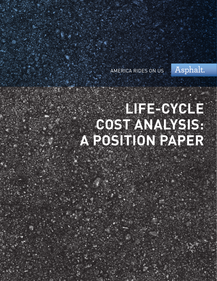AMERICA RIDES ON US

Asphalt.

# **LIFE-CYCLE COST ANALYSIS: A POSITION PAPER**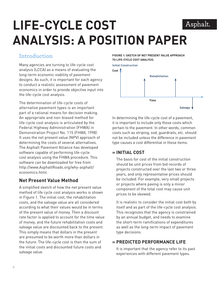## **LIFE-CYCLE COST**  Asphalt. **ANALYSIS: A POSITION PAPER**

## **Introduction**

Many agencies are turning to life-cycle cost analysis (LCCA) as a means of evaluating the long-term economic viability of pavement designs. As such, it is important for each agency to conduct a realistic assessment of pavement economics in order to provide objective input into the life-cycle cost analysis.

The determination of life-cycle costs of alternative pavement types is an important part of a rational means for decision making. An appropriate and non-biased method for life-cycle cost analysis is articulated by the Federal Highway Administration (FHWA) in Demonstration Project No. 115 *(FHWA, 1998)*. It uses the net present value (NPV) approach of determining the costs of several alternatives. The Asphalt Pavement Alliance has developed software capable of performing life-cycle cost analysis using the FHWA procedure. This software can be downloaded for free from http://www.AsphaltRoads.org/why-asphalt/ economics.html.

## **Net Present Value Method**

A simplified sketch of how the net present value method of life cycle cost analysis works is shown in Figure 1. The initial cost, the rehabilitation costs, and the salvage value are all considered according to what their values would be in terms of the present value of money. Then a discount rate factor is applied to account for the time value of money, and the future rehabilitation costs and salvage value are discounted back to the present. This simply means that dollars in the present are presumed to be worth more than dollars in the future. The life-cycle cost is then the sum of the initial costs and discounted future costs and salvage value.

#### **FIGURE 1: SKETCH OF NET PRESENT VALUE APPROACH TO LIFE-CYCLE COST ANALYSIS.**



In determining the life-cycle cost of a pavement, it is important to include only those costs which pertain to the pavement. In other words, common costs such as striping, sod, guardrails, etc. should not be included unless the difference in pavement type causes a cost differential in these items.

#### **» INITIAL COST**

The basis for cost of the initial construction should be unit prices from bid records of projects constructed over the last two or three years, and only representative prices should be included. For example, very small projects or projects where paving is only a minor component of the total cost may cause unit prices to be skewed.

It is realistic to consider the initial cost both by itself and as part of the life-cycle cost analysis. This recognizes that the agency is constrained by an annual budget, and needs to examine the short-term ramifications of expenditures as well as the long-term impact of pavement type decisions.

### **» PREDICTED PERFORMANCE LIFE**

It is important that the agency refer to its past experiences with different pavement types.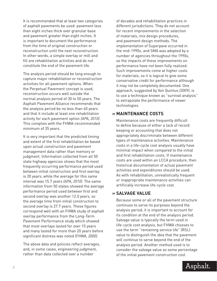It is recommended that at least two categories of asphalt pavements be used: pavement less than eight inches thick over granular base and pavement greater than eight inches. It is important to document the performance from the time of original construction or reconstruction until the next reconstruction. In other words, a simple overlay or mill and fill are rehabilitation activities and do not constitute the end of the pavement life.

The analysis period should be long enough to capture major rehabilitation or reconstruction activities for all pavement options. When the Perpetual Pavement concept is used, reconstruction occurs well outside the normal analysis period of 30 to 50 years. The Asphalt Pavement Alliance recommends that the analysis period be no less than 40 years and that it include at least one rehabilitation activity for each pavement option *(APA, 2010)*. This complies with the FHWA-recommended minimum of 35 years.

It is very important that the predicted timing and extent of the first rehabilitation be based upon actual construction and pavement management data rather than memory or judgment. Information collected from all 50 state highway agencies shows that the most frequently occurring performance period used between initial construction and first overlay is 20 years, while the average for this same interval was 15.7 years *(APA, 2010)*. The same information from 50 states showed the average performance period used between first and second overlay was another 12.0 years, so the average time from initial construction to second overlay is 27.7 years. These figures correspond well with an FHWA study of asphalt overlay performance from the Long-Term Pavement Performance study which showed that most overlays lasted for over 15 years and many lasted for more than 20 years before significant distress was noted *(FHWA, 2000)*.

The above data and policies reflect averages, and, in some cases, engineering judgment, rather than data collected over a number

of decades and rehabilitation practices in different jurisdictions. They do not account for recent improvements in the selection of materials, mix design procedures, and pavement design methods. The implementation of Superpave occurred in the mid-1990s, and SMA was adopted by a number of agencies throughout the 1990s, so the impacts of these improvements on performance have not been fully realized. Such improvements come at higher costs for materials, so it is logical to give some conservative credit for performance although it may not be completely documented. One approach, suggested by Von Quintus *(2009)*, is to use a technique known as "survival analysis" to extrapolate the performance of newer technologies.

#### **» MAINTENANCE COSTS**

Maintenance costs are frequently difficult to define because of either a lack of record keeping or accounting that does not appropriately discriminate between different types of maintenance activities. Maintenance costs in a life-cycle cost analysis usually have minimal impact when compared to the initial and first rehabilitation costs. If maintenance costs are used within an LCCA procedure, then historical documentation of actual pavement activities and expenditures should be used. As with rehabilitation, unrealistically frequent or inappropriate maintenance activities can artificially increase life-cycle cost.

#### **» SALVAGE VALUE**

Because some or all of the pavement structure continues to serve its purposes beyond the analysis period, it is important to account for its condition at the end of the analysis period. Salvage value is typically the term used in life-cycle cost analysis, but FHWA chooses to use the term "remaining service life" (RSL) value to distinguish the idea that the pavement will continue to serve beyond the end of the analysis period. Another method used is to consider the salvage value as some percentage of the initial pavement construction cost.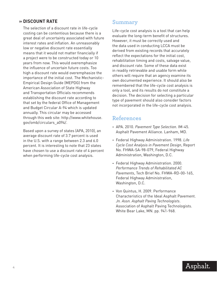#### **» DISCOUNT RATE**

The selection of a discount rate in life-cycle costing can be contentious because there is a great deal of uncertainty associated with future interest rates and inflation. An unreasonably low or negative discount rate essentially means that it would not matter financially if a project were to be constructed today or 10 years from now. This would overemphasize the influence of uncertain future costs. Too high a discount rate would overemphasize the importance of the initial cost. The Mechanistic-Empirical Design Guide (MEPDG) from the American Association of State Highway and Transportation Officials recommends establishing the discount rate according to that set by the federal Office of Management and Budget Circular A-94 which is updated annually. This circular may be accessed through this web site: http://www.whitehouse. gov/omb/circulars\_a094/.

Based upon a survey of states (APA, 2010), an average discount rate of 3.7 percent is used in the U.S. with a range between 2.3 and 6.0 percent. It is interesting to note that 23 states have chosen to use a discount rate of 4 percent when performing life-cycle cost analysis.

#### **Summary**

Life-cycle cost analysis is a tool that can help evaluate the long-term benefit of structures. However, it must be correctly used and the data used in conducting LCCA must be derived from existing records that accurately reflect the expectations for the initial cost, rehabilitation timing and costs, salvage value, and discount rate. Some of these data exist in readily retrievable and usable form while others will require that an agency examine its own documented experience. It should also be remembered that the life-cycle cost analysis is only a tool, and its results do not constitute a decision. The decision for selecting a particular type of pavement should also consider factors not incorporated in the life-cycle cost analysis.

## **References**

- **-** APA. 2010. *Pavement Type Selection.* IM-45. Asphalt Pavement Alliance. Lanham, MD.
- **-** Federal Highway Administration. 1998. *Life Cycle Cost Analysis in Pavement Design*, Report No. FHWA-SA-98-079, Federal Highway Administration, Washington, D.C.
- **-** Federal Highway Administration. 2000. *Performance Trends of Rehabilitated AC Pavements*, Tech Brief No. FHWA-RD-00-165, Federal Highway Administration, Washington, D.C.
- **-** Von Quintus, H. 2009. Performance Characteristics of the Ideal Asphalt Pavement. *Jn. Assn. Asphalt Paving Technologists*. Association of Asphalt Paving Technologists. White Bear Lake, MN. pp. 941-968.